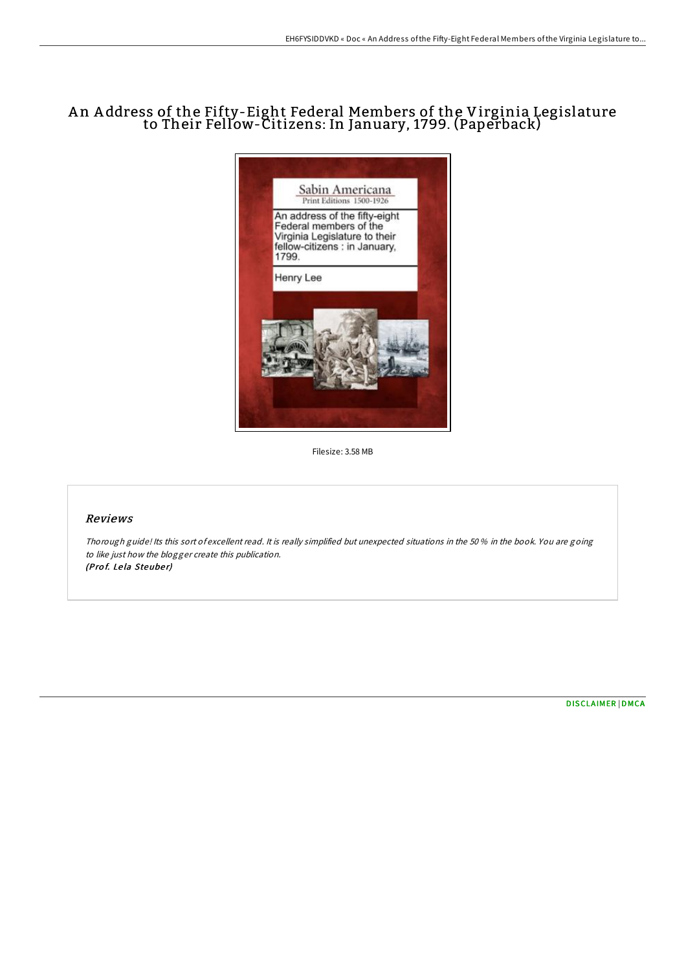# A n A ddress of the Fifty-Eight Federal Members of the Virginia Legislature to Their Fellow-Citizens: In January, 1799. (Paperback)



Filesize: 3.58 MB

## Reviews

Thorough guide! Its this sort of excellent read. It is really simplified but unexpected situations in the 50 % in the book. You are going to like just how the blogger create this publication. (Prof. Lela Steuber)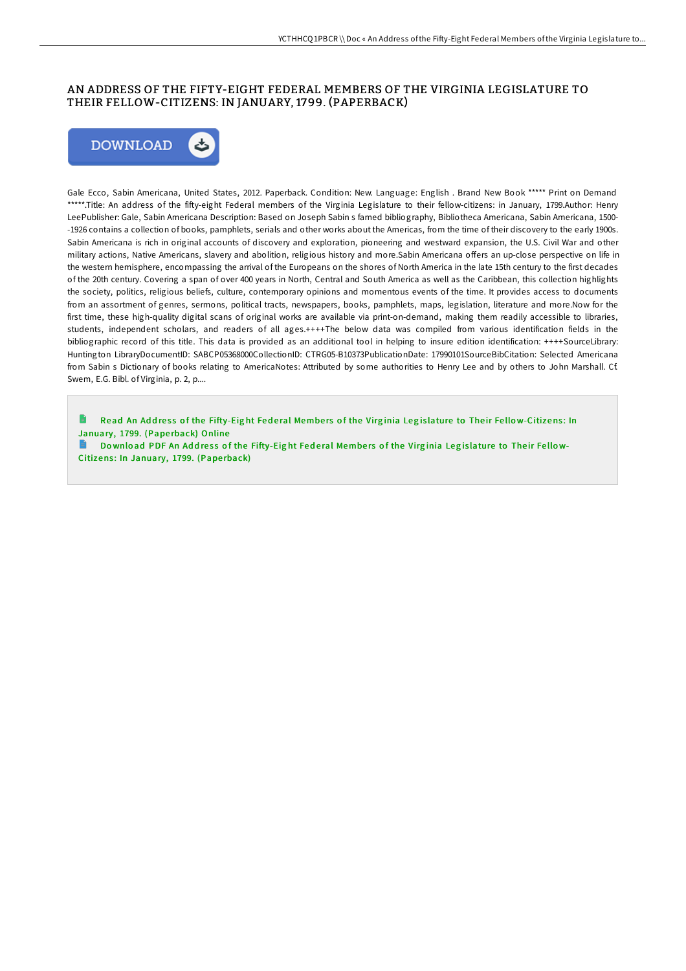## AN ADDRESS OF THE FIFTY-EIGHT FEDERAL MEMBERS OF THE VIRGINIA LEGISLATURE TO THEIR FELLOW-CITIZENS: IN JANUARY, 1799. (PAPERBACK)



Gale Ecco, Sabin Americana, United States, 2012. Paperback. Condition: New. Language: English . Brand New Book \*\*\*\*\* Print on Demand \*\*\*\*\*.Title: An address of the fifty-eight Federal members of the Virginia Legislature to their fellow-citizens: in January, 1799.Author: Henry LeePublisher: Gale, Sabin Americana Description: Based on Joseph Sabin s famed bibliography, Bibliotheca Americana, Sabin Americana, 1500- -1926 contains a collection of books, pamphlets, serials and other works about the Americas, from the time of their discovery to the early 1900s. Sabin Americana is rich in original accounts of discovery and exploration, pioneering and westward expansion, the U.S. Civil War and other military actions, Native Americans, slavery and abolition, religious history and more.Sabin Americana offers an up-close perspective on life in the western hemisphere, encompassing the arrival of the Europeans on the shores of North America in the late 15th century to the first decades of the 20th century. Covering a span of over 400 years in North, Central and South America as well as the Caribbean, this collection highlights the society, politics, religious beliefs, culture, contemporary opinions and momentous events of the time. It provides access to documents from an assortment of genres, sermons, political tracts, newspapers, books, pamphlets, maps, legislation, literature and more.Now for the first time, these high-quality digital scans of original works are available via print-on-demand, making them readily accessible to libraries, students, independent scholars, and readers of all ages.++++The below data was compiled from various identification fields in the bibliographic record of this title. This data is provided as an additional tool in helping to insure edition identification: ++++SourceLibrary: Huntington LibraryDocumentID: SABCP05368000CollectionID: CTRG05-B10373PublicationDate: 17990101SourceBibCitation: Selected Americana from Sabin s Dictionary of books relating to AmericaNotes: Attributed by some authorities to Henry Lee and by others to John Marshall. Cf. Swem, E.G. Bibl. of Virginia, p. 2, p....

Read An Address of the Fifty-Eight Federal Members of the Virginia Legislature to Their Fello[w-Citizens](http://almighty24.tech/an-address-of-the-fifty-eight-federal-members-of.html): In January, 1799. (Paperback) Online

B Download PDF An Address of the Fifty-Eight Federal Members of the Virginia Legislature to Their Fellow-Citizens: In [January,](http://almighty24.tech/an-address-of-the-fifty-eight-federal-members-of.html) 1799. (Paperback)